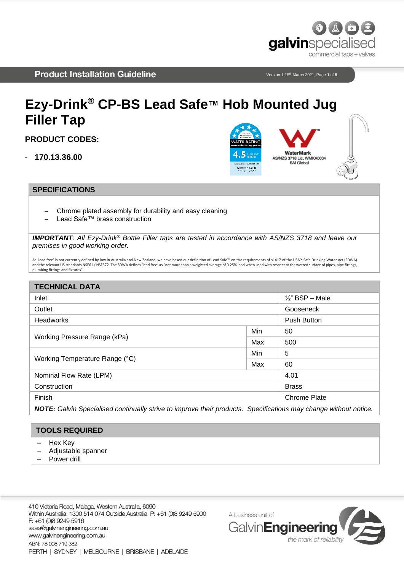

Version 1,15th March 2021, Page **1** of **5**

# **Ezy-Drink® CP-BS Lead Safe™ Hob Mounted Jug Filler Tap**

**PRODUCT CODES:**

- **170.13.36.00**



#### **SPECIFICATIONS**

- Chrome plated assembly for durability and easy cleaning
- − Lead Safe™ brass construction

*IMPORTANT: All Ezy-Drink® Bottle Filler taps are tested in accordance with AS/NZS 3718 and leave our premises in good working order.*

As 'lead free' is not currently defined by low in Australia and New Zealand, we have based our definition of Lead Safe™ on the requirements of s1417 of the USA's Safe Drinking Water Act (SDWA) and the relevant US standards NSF61 / NSF372. The SDWA defines 'lead free' as "not more than a weighted average of 0.25% lead when used with respect to the wetted surface of pipes, pipe fittings, plumbing fittings and fixtures".

### **TECHNICAL DATA** Inlet ½" BSP – Male Outlet Gooseneck **Headworks** Push Button **Push Button** Button **Push Button** Push Button **Push Button** Working Pressure Range (kPa) Min | 50 Max 500 Working Temperature Range (°C) Min  $\vert$  5  $Max \t 60$ Nominal Flow Rate (LPM) 4.01 **Construction** Brass Finish Chrome Plate *NOTE: Galvin Specialised continually strive to improve their products. Specifications may change without notice.*

#### **TOOLS REQUIRED**

- − Hex Key
- − Adjustable spanner
- − Power drill

410 Victoria Road, Malaga, Western Australia, 6090 Within Australia: 1300 514 074 Outside Australia P: +61 (0)8 9249 5900 F: +61 (0)8 9249 5916 sales@galvinengineering.com.au www.galvinengineering.com.au ABN: 78 008 719 382 PERTH | SYDNEY | MELBOURNE | BRISBANE | ADELAIDE

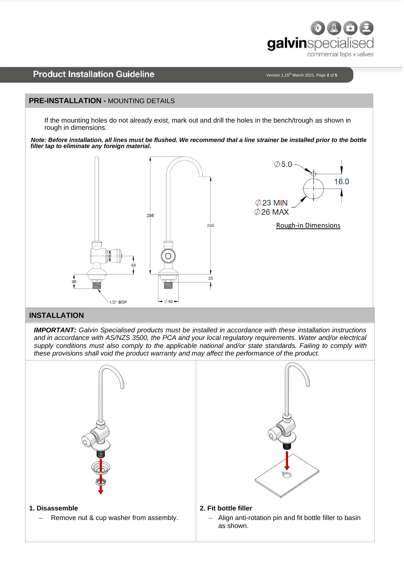

Version 1,15th March 2021, Page **2** of **5**

#### **PRE-INSTALLATION -** MOUNTING DETAILS

If the mounting holes do not already exist, mark out and drill the holes in the bench/trough as shown in rough in dimensions.

*Note: Before installation, all lines must be flushed. We recommend that a line strainer be installed prior to the bottle filler tap to eliminate any foreign material.*



# **INSTALLATION**

*IMPORTANT: Galvin Specialised products must be installed in accordance with these installation instructions and in accordance with AS/NZS 3500, the PCA and your local regulatory requirements. Water and/or electrical supply conditions must also comply to the applicable national and/or state standards. Failing to comply with these provisions shall void the product warranty and may affect the performance of the product.*

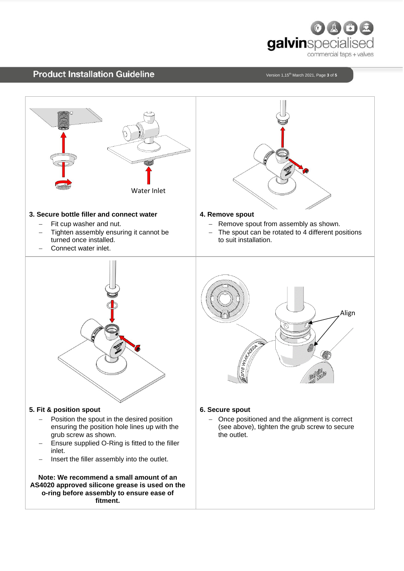

Version 1,15th March 2021, Page **3** of **5**

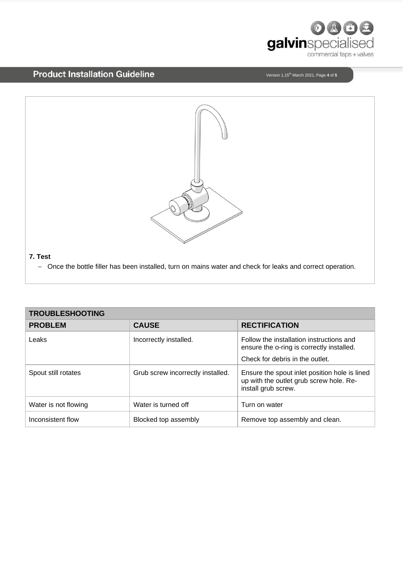

Version 1,15th March 2021, Page **4** of **5**



| <b>TROUBLESHOOTING</b> |                                   |                                                                                                                 |
|------------------------|-----------------------------------|-----------------------------------------------------------------------------------------------------------------|
| <b>PROBLEM</b>         | <b>CAUSE</b>                      | <b>RECTIFICATION</b>                                                                                            |
| Leaks                  | Incorrectly installed.            | Follow the installation instructions and<br>ensure the o-ring is correctly installed.                           |
|                        |                                   | Check for debris in the outlet.                                                                                 |
| Spout still rotates    | Grub screw incorrectly installed. | Ensure the spout inlet position hole is lined<br>up with the outlet grub screw hole. Re-<br>install grub screw. |
| Water is not flowing   | Water is turned off               | Turn on water                                                                                                   |
| Inconsistent flow      | Blocked top assembly              | Remove top assembly and clean.                                                                                  |